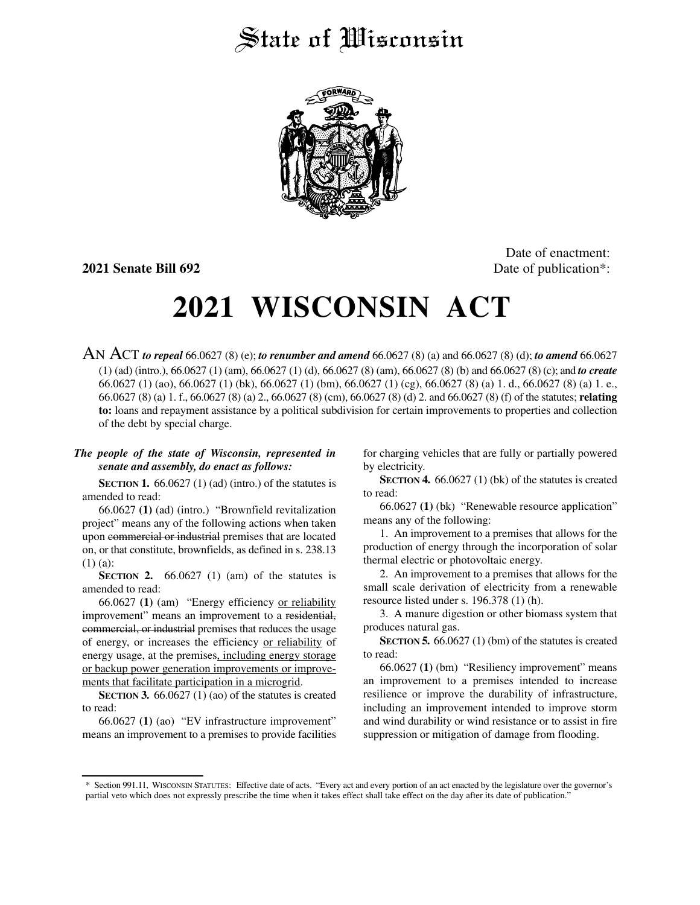## State of Wisconsin



Date of enactment: **2021 Senate Bill 692** Date of publication<sup>\*</sup>:

## **2021 WISCONSIN ACT**

AN ACT *to repeal* 66.0627 (8) (e); *to renumber and amend* 66.0627 (8) (a) and 66.0627 (8) (d); *to amend* 66.0627 (1) (ad) (intro.), 66.0627 (1) (am), 66.0627 (1) (d), 66.0627 (8) (am), 66.0627 (8) (b) and 66.0627 (8) (c); and *to create* 66.0627 (1) (ao), 66.0627 (1) (bk), 66.0627 (1) (bm), 66.0627 (1) (cg), 66.0627 (8) (a) 1. d., 66.0627 (8) (a) 1. e., 66.0627 (8) (a) 1. f., 66.0627 (8) (a) 2., 66.0627 (8) (cm), 66.0627 (8) (d) 2. and 66.0627 (8) (f) of the statutes; **relating to:** loans and repayment assistance by a political subdivision for certain improvements to properties and collection of the debt by special charge.

## *The people of the state of Wisconsin, represented in senate and assembly, do enact as follows:*

**SECTION 1.** 66.0627 (1) (ad) (intro.) of the statutes is amended to read:

66.0627 **(1)** (ad) (intro.) "Brownfield revitalization project" means any of the following actions when taken upon commercial or industrial premises that are located on, or that constitute, brownfields, as defined in s. 238.13 (1) (a):

**SECTION 2.** 66.0627 (1) (am) of the statutes is amended to read:

66.0627 **(1)** (am) "Energy efficiency or reliability improvement" means an improvement to a residential, commercial, or industrial premises that reduces the usage of energy, or increases the efficiency or reliability of energy usage, at the premises, including energy storage or backup power generation improvements or improvements that facilitate participation in a microgrid.

**SECTION 3.** 66.0627 (1) (ao) of the statutes is created to read:

66.0627 **(1)** (ao) "EV infrastructure improvement" means an improvement to a premises to provide facilities for charging vehicles that are fully or partially powered by electricity.

**SECTION 4.** 66.0627 (1) (bk) of the statutes is created to read:

66.0627 **(1)** (bk) "Renewable resource application" means any of the following:

1. An improvement to a premises that allows for the production of energy through the incorporation of solar thermal electric or photovoltaic energy.

2. An improvement to a premises that allows for the small scale derivation of electricity from a renewable resource listed under s. 196.378 (1) (h).

3. A manure digestion or other biomass system that produces natural gas.

**SECTION 5.** 66.0627 (1) (bm) of the statutes is created to read:

66.0627 **(1)** (bm) "Resiliency improvement" means an improvement to a premises intended to increase resilience or improve the durability of infrastructure, including an improvement intended to improve storm and wind durability or wind resistance or to assist in fire suppression or mitigation of damage from flooding.

<sup>\*</sup> Section 991.11, WISCONSIN STATUTES: Effective date of acts. "Every act and every portion of an act enacted by the legislature over the governor's partial veto which does not expressly prescribe the time when it takes effect shall take effect on the day after its date of publication."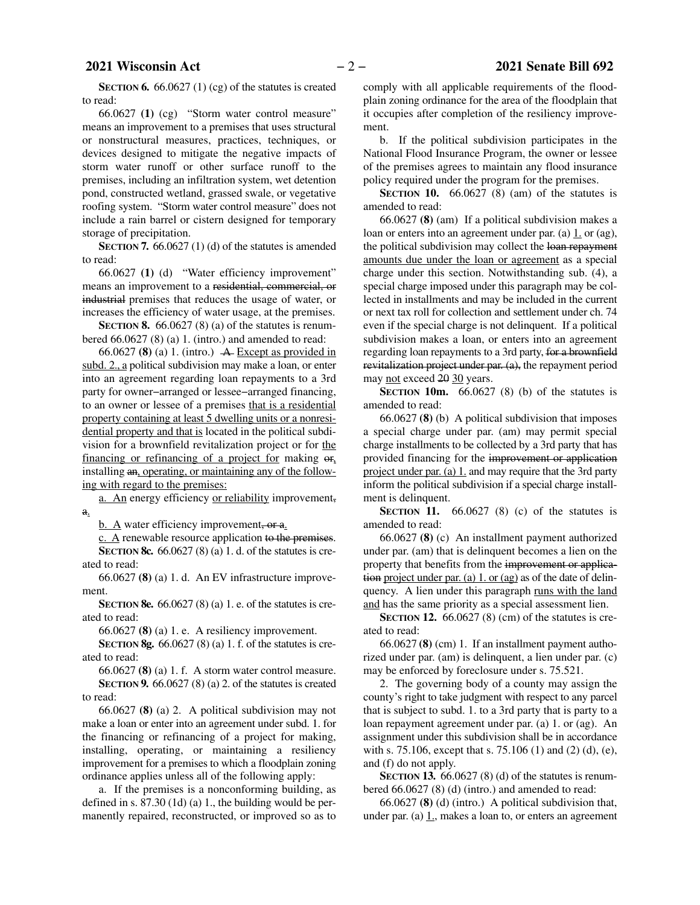**SECTION 6.** 66.0627 (1) (cg) of the statutes is created to read:

66.0627 **(1)** (cg) "Storm water control measure" means an improvement to a premises that uses structural or nonstructural measures, practices, techniques, or devices designed to mitigate the negative impacts of storm water runoff or other surface runoff to the premises, including an infiltration system, wet detention pond, constructed wetland, grassed swale, or vegetative roofing system. "Storm water control measure" does not include a rain barrel or cistern designed for temporary storage of precipitation.

**SECTION 7.** 66.0627 (1) (d) of the statutes is amended to read:

66.0627 **(1)** (d) "Water efficiency improvement" means an improvement to a residential, commercial, or industrial premises that reduces the usage of water, or increases the efficiency of water usage, at the premises.

**SECTION 8.** 66.0627 (8) (a) of the statutes is renumbered  $66.0627(8)$  (a) 1. (intro.) and amended to read:

66.0627 **(8)** (a) 1. (intro.)  $\rightarrow$  Except as provided in subd. 2., a political subdivision may make a loan, or enter into an agreement regarding loan repayments to a 3rd party for owner−arranged or lessee−arranged financing, to an owner or lessee of a premises that is a residential property containing at least 5 dwelling units or a nonresidential property and that is located in the political subdivision for a brownfield revitalization project or for the financing or refinancing of a project for making  $\Theta$ . installing an, operating, or maintaining any of the following with regard to the premises:

a. An energy efficiency or reliability improvement, a.

b. A water efficiency improvement, or a.

 $c. A$  renewable resource application to the premises.

**SECTION 8c.** 66.0627 (8) (a) 1. d. of the statutes is created to read:

66.0627 **(8)** (a) 1. d. An EV infrastructure improvement.

**SECTION 8e.** 66.0627 (8) (a) 1. e. of the statutes is created to read:

66.0627 **(8)** (a) 1. e. A resiliency improvement.

**SECTION 8g.** 66.0627 (8) (a) 1. f. of the statutes is created to read:

66.0627 **(8)** (a) 1. f. A storm water control measure. **SECTION 9.** 66.0627 (8) (a) 2. of the statutes is created to read:

66.0627 **(8)** (a) 2. A political subdivision may not make a loan or enter into an agreement under subd. 1. for the financing or refinancing of a project for making, installing, operating, or maintaining a resiliency improvement for a premises to which a floodplain zoning ordinance applies unless all of the following apply:

a. If the premises is a nonconforming building, as defined in s. 87.30 (1d) (a) 1., the building would be permanently repaired, reconstructed, or improved so as to

comply with all applicable requirements of the floodplain zoning ordinance for the area of the floodplain that it occupies after completion of the resiliency improvement.

b. If the political subdivision participates in the National Flood Insurance Program, the owner or lessee of the premises agrees to maintain any flood insurance policy required under the program for the premises.

**SECTION 10.** 66.0627 (8) (am) of the statutes is amended to read:

66.0627 **(8)** (am) If a political subdivision makes a loan or enters into an agreement under par. (a)  $1$  or (ag), the political subdivision may collect the loan repayment amounts due under the loan or agreement as a special charge under this section. Notwithstanding sub. (4), a special charge imposed under this paragraph may be collected in installments and may be included in the current or next tax roll for collection and settlement under ch. 74 even if the special charge is not delinquent. If a political subdivision makes a loan, or enters into an agreement regarding loan repayments to a 3rd party, for a brownfield revitalization project under par. (a), the repayment period may not exceed 20 30 years.

**SECTION** 10m.  $66.0627$  (8) (b) of the statutes is amended to read:

66.0627 **(8)** (b) A political subdivision that imposes a special charge under par. (am) may permit special charge installments to be collected by a 3rd party that has provided financing for the improvement or application project under par. (a) 1. and may require that the 3rd party inform the political subdivision if a special charge installment is delinquent.

**SECTION 11.** 66.0627 (8) (c) of the statutes is amended to read:

66.0627 **(8)** (c) An installment payment authorized under par. (am) that is delinquent becomes a lien on the property that benefits from the improvement or application project under par. (a) 1. or (ag) as of the date of delinquency. A lien under this paragraph runs with the land and has the same priority as a special assessment lien.

**SECTION 12.** 66.0627 (8) (cm) of the statutes is created to read:

66.0627 **(8)** (cm) 1. If an installment payment authorized under par. (am) is delinquent, a lien under par. (c) may be enforced by foreclosure under s. 75.521.

2. The governing body of a county may assign the county's right to take judgment with respect to any parcel that is subject to subd. 1. to a 3rd party that is party to a loan repayment agreement under par. (a) 1. or (ag). An assignment under this subdivision shall be in accordance with s. 75.106, except that s. 75.106 (1) and (2) (d), (e), and (f) do not apply.

**SECTION 13.** 66.0627 (8) (d) of the statutes is renumbered 66.0627 (8) (d) (intro.) and amended to read:

66.0627 **(8)** (d) (intro.) A political subdivision that, under par. (a)  $1$ , makes a loan to, or enters an agreement